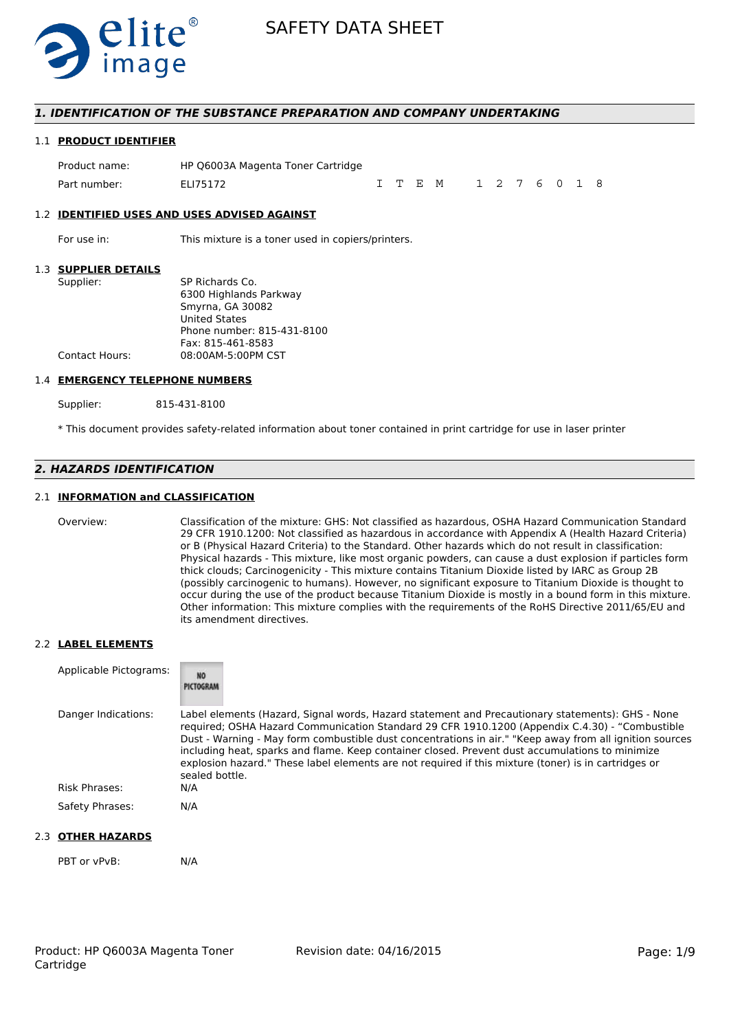

### *1. IDENTIFICATION OF THE SUBSTANCE PREPARATION AND COMPANY UNDERTAKING*

#### 1.1 **PRODUCT IDENTIFIER**

| Product name: | HP Q6003A Magenta Toner Cartridge |  |                       |  |  |  |  |
|---------------|-----------------------------------|--|-----------------------|--|--|--|--|
| Part number:  | ELI75172                          |  | I T E M 1 2 7 6 0 1 8 |  |  |  |  |

#### 1.2 **IDENTIFIED USES AND USES ADVISED AGAINST**

For use in: This mixture is a toner used in copiers/printers.

#### 1.3 **SUPPLIER DETAILS**

| Supplier:             | SP Richards Co.            |
|-----------------------|----------------------------|
|                       | 6300 Highlands Parkway     |
|                       | Smyrna, GA 30082           |
|                       | <b>United States</b>       |
|                       | Phone number: 815-431-8100 |
|                       | Fax: 815-461-8583          |
| <b>Contact Hours:</b> | 08:00AM-5:00PM CST         |
|                       |                            |

#### 1.4 **EMERGENCY TELEPHONE NUMBERS**

Supplier: 815-431-8100

\* This document provides safety-related information about toner contained in print cartridge for use in laser printer

## *2. HAZARDS IDENTIFICATION*

### 2.1 **INFORMATION and CLASSIFICATION**

Overview: Classification of the mixture: GHS: Not classified as hazardous, OSHA Hazard Communication Standard 29 CFR 1910.1200: Not classified as hazardous in accordance with Appendix A (Health Hazard Criteria) or B (Physical Hazard Criteria) to the Standard. Other hazards which do not result in classification: Physical hazards - This mixture, like most organic powders, can cause a dust explosion if particles form thick clouds; Carcinogenicity - This mixture contains Titanium Dioxide listed by IARC as Group 2B (possibly carcinogenic to humans). However, no significant exposure to Titanium Dioxide is thought to occur during the use of the product because Titanium Dioxide is mostly in a bound form in this mixture. Other information: This mixture complies with the requirements of the RoHS Directive 2011/65/EU and its amendment directives.

#### 2.2 **LABEL ELEMENTS**

| Applicable Pictograms: | NO <sub>1</sub><br>PICTOGRAM                                                                                                                                                                                                                                                                                                                                                                                                                                                                                                               |
|------------------------|--------------------------------------------------------------------------------------------------------------------------------------------------------------------------------------------------------------------------------------------------------------------------------------------------------------------------------------------------------------------------------------------------------------------------------------------------------------------------------------------------------------------------------------------|
| Danger Indications:    | Label elements (Hazard, Signal words, Hazard statement and Precautionary statements): GHS - None<br>required; OSHA Hazard Communication Standard 29 CFR 1910.1200 (Appendix C.4.30) - "Combustible<br>Dust - Warning - May form combustible dust concentrations in air." "Keep away from all ignition sources<br>including heat, sparks and flame. Keep container closed. Prevent dust accumulations to minimize<br>explosion hazard." These label elements are not required if this mixture (toner) is in cartridges or<br>sealed bottle. |
| Risk Phrases:          | N/A                                                                                                                                                                                                                                                                                                                                                                                                                                                                                                                                        |
| Safety Phrases:        | N/A                                                                                                                                                                                                                                                                                                                                                                                                                                                                                                                                        |

### 2.3 **OTHER HAZARDS**

PBT or vPvB: N/A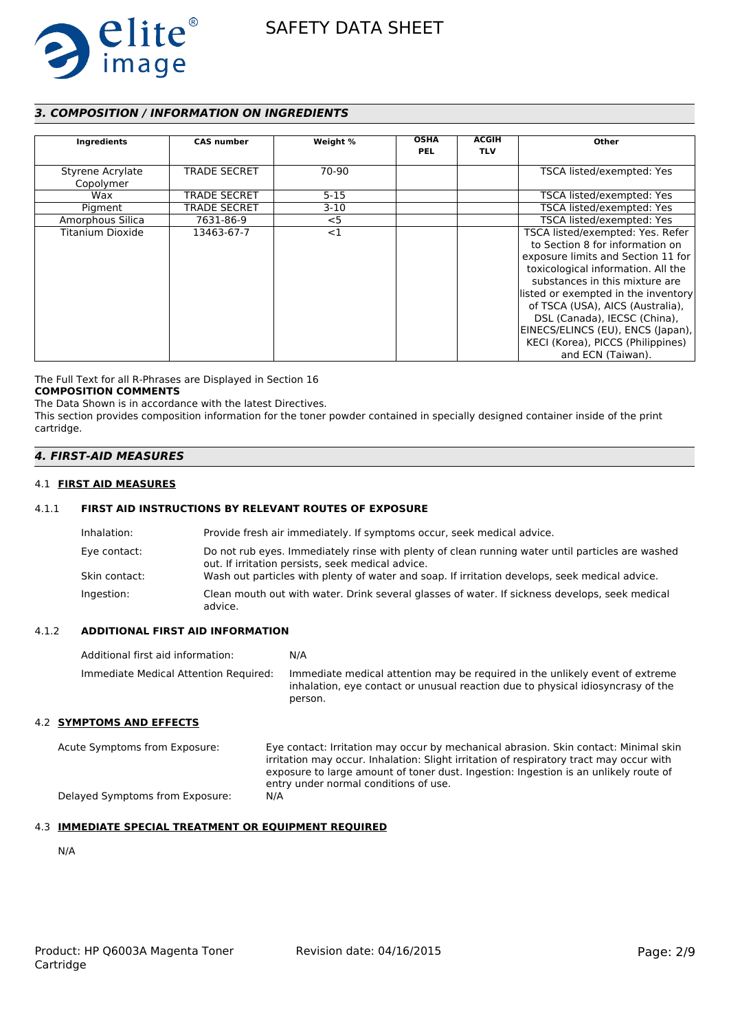

# *3. COMPOSITION / INFORMATION ON INGREDIENTS*

| Ingredients                   | <b>CAS number</b>   | Weight % | <b>OSHA</b><br><b>PEL</b> | <b>ACGIH</b><br><b>TLV</b> | Other                                                                                                                                                                                                                                                                                                                                                                                       |
|-------------------------------|---------------------|----------|---------------------------|----------------------------|---------------------------------------------------------------------------------------------------------------------------------------------------------------------------------------------------------------------------------------------------------------------------------------------------------------------------------------------------------------------------------------------|
| Styrene Acrylate<br>Copolymer | <b>TRADE SECRET</b> | 70-90    |                           |                            | TSCA listed/exempted: Yes                                                                                                                                                                                                                                                                                                                                                                   |
| Wax                           | <b>TRADE SECRET</b> | $5 - 15$ |                           |                            | TSCA listed/exempted: Yes                                                                                                                                                                                                                                                                                                                                                                   |
| Pigment                       | TRADE SECRET        | $3-10$   |                           |                            | TSCA listed/exempted: Yes                                                                                                                                                                                                                                                                                                                                                                   |
| Amorphous Silica              | 7631-86-9           | $<$ 5    |                           |                            | TSCA listed/exempted: Yes                                                                                                                                                                                                                                                                                                                                                                   |
| Titanium Dioxide              | 13463-67-7          | <1       |                           |                            | TSCA listed/exempted: Yes. Refer<br>to Section 8 for information on<br>exposure limits and Section 11 for<br>toxicological information. All the<br>substances in this mixture are<br>listed or exempted in the inventory<br>of TSCA (USA), AICS (Australia),<br>DSL (Canada), IECSC (China),<br>EINECS/ELINCS (EU), ENCS (Japan),<br>KECI (Korea), PICCS (Philippines)<br>and ECN (Taiwan). |

The Full Text for all R-Phrases are Displayed in Section 16 **COMPOSITION COMMENTS**

The Data Shown is in accordance with the latest Directives.

This section provides composition information for the toner powder contained in specially designed container inside of the print cartridge.

## *4. FIRST-AID MEASURES*

#### 4.1 **FIRST AID MEASURES**

### 4.1.1 **FIRST AID INSTRUCTIONS BY RELEVANT ROUTES OF EXPOSURE**

| Inhalation:   | Provide fresh air immediately. If symptoms occur, seek medical advice.                                                                                |
|---------------|-------------------------------------------------------------------------------------------------------------------------------------------------------|
| Eye contact:  | Do not rub eyes. Immediately rinse with plenty of clean running water until particles are washed<br>out. If irritation persists, seek medical advice. |
| Skin contact: | Wash out particles with plenty of water and soap. If irritation develops, seek medical advice.                                                        |
| Ingestion:    | Clean mouth out with water. Drink several glasses of water. If sickness develops, seek medical<br>advice.                                             |

### 4.1.2 **ADDITIONAL FIRST AID INFORMATION**

| Additional first aid information:     | N/A                                                                                                                                                                        |
|---------------------------------------|----------------------------------------------------------------------------------------------------------------------------------------------------------------------------|
| Immediate Medical Attention Required: | Immediate medical attention may be required in the unlikely event of extreme<br>inhalation, eye contact or unusual reaction due to physical idiosyncrasy of the<br>person. |
| 4.2 SYMPTOMS AND EFFECTS              |                                                                                                                                                                            |

Acute Symptoms from Exposure: Eye contact: Irritation may occur by mechanical abrasion. Skin contact: Minimal skin irritation may occur. Inhalation: Slight irritation of respiratory tract may occur with exposure to large amount of toner dust. Ingestion: Ingestion is an unlikely route of entry under normal conditions of use. Delayed Symptoms from Exposure: N/A

# 4.3 **IMMEDIATE SPECIAL TREATMENT OR EQUIPMENT REQUIRED**

N/A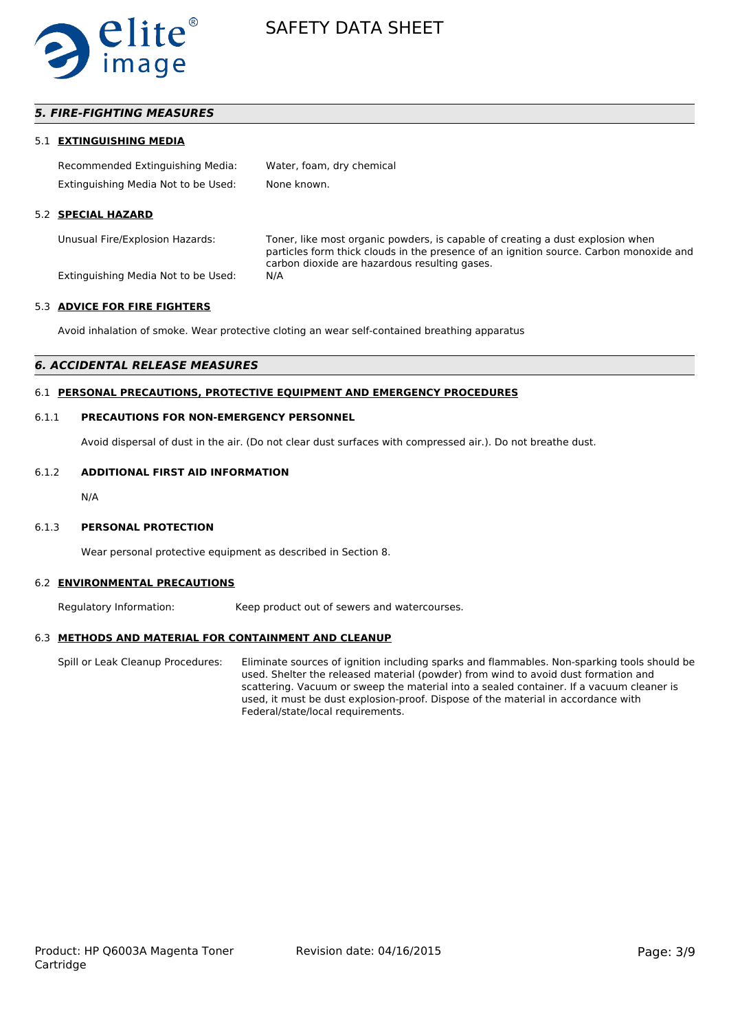

### *5. FIRE-FIGHTING MEASURES*

#### 5.1 **EXTINGUISHING MEDIA**

| Recommended Extinguishing Media:    | Water, foam, dry chemical |
|-------------------------------------|---------------------------|
| Extinguishing Media Not to be Used: | None known.               |

#### 5.2 **SPECIAL HAZARD**

Unusual Fire/Explosion Hazards: Toner, like most organic powders, is capable of creating a dust explosion when particles form thick clouds in the presence of an ignition source. Carbon monoxide and carbon dioxide are hazardous resulting gases.

Extinguishing Media Not to be Used: N/A

#### 5.3 **ADVICE FOR FIRE FIGHTERS**

Avoid inhalation of smoke. Wear protective cloting an wear self-contained breathing apparatus

#### *6. ACCIDENTAL RELEASE MEASURES*

#### 6.1 **PERSONAL PRECAUTIONS, PROTECTIVE EQUIPMENT AND EMERGENCY PROCEDURES**

#### 6.1.1 **PRECAUTIONS FOR NON-EMERGENCY PERSONNEL**

Avoid dispersal of dust in the air. (Do not clear dust surfaces with compressed air.). Do not breathe dust.

#### 6.1.2 **ADDITIONAL FIRST AID INFORMATION**

N/A

#### 6.1.3 **PERSONAL PROTECTION**

Wear personal protective equipment as described in Section 8.

#### 6.2 **ENVIRONMENTAL PRECAUTIONS**

Regulatory Information: Keep product out of sewers and watercourses.

#### 6.3 **METHODS AND MATERIAL FOR CONTAINMENT AND CLEANUP**

Spill or Leak Cleanup Procedures: Eliminate sources of ignition including sparks and flammables. Non-sparking tools should be used. Shelter the released material (powder) from wind to avoid dust formation and scattering. Vacuum or sweep the material into a sealed container. If a vacuum cleaner is used, it must be dust explosion-proof. Dispose of the material in accordance with Federal/state/local requirements.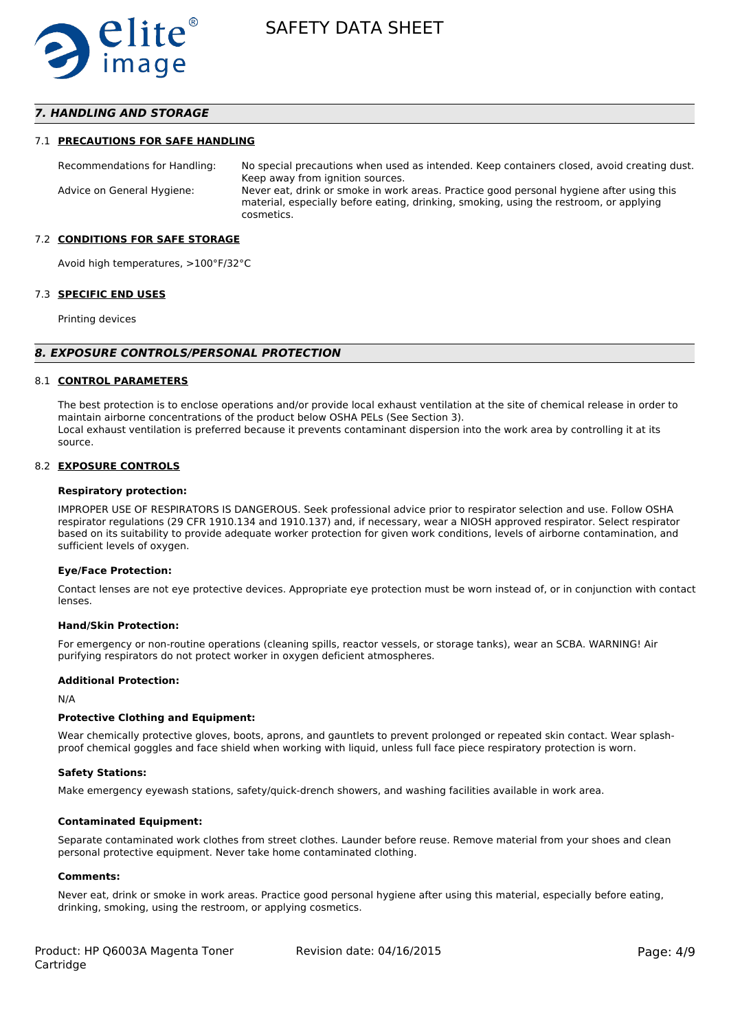

### *7. HANDLING AND STORAGE*

#### 7.1 **PRECAUTIONS FOR SAFE HANDLING**

Recommendations for Handling: No special precautions when used as intended. Keep containers closed, avoid creating dust. Keep away from ignition sources. Advice on General Hygiene: Never eat, drink or smoke in work areas. Practice good personal hygiene after using this material, especially before eating, drinking, smoking, using the restroom, or applying cosmetics.

#### 7.2 **CONDITIONS FOR SAFE STORAGE**

Avoid high temperatures, >100°F/32°C

#### 7.3 **SPECIFIC END USES**

Printing devices

#### *8. EXPOSURE CONTROLS/PERSONAL PROTECTION*

#### 8.1 **CONTROL PARAMETERS**

The best protection is to enclose operations and/or provide local exhaust ventilation at the site of chemical release in order to maintain airborne concentrations of the product below OSHA PELs (See Section 3). Local exhaust ventilation is preferred because it prevents contaminant dispersion into the work area by controlling it at its source.

#### 8.2 **EXPOSURE CONTROLS**

#### **Respiratory protection:**

IMPROPER USE OF RESPIRATORS IS DANGEROUS. Seek professional advice prior to respirator selection and use. Follow OSHA respirator regulations (29 CFR 1910.134 and 1910.137) and, if necessary, wear a NIOSH approved respirator. Select respirator based on its suitability to provide adequate worker protection for given work conditions, levels of airborne contamination, and sufficient levels of oxygen.

#### **Eye/Face Protection:**

Contact lenses are not eye protective devices. Appropriate eye protection must be worn instead of, or in conjunction with contact lenses.

#### **Hand/Skin Protection:**

For emergency or non-routine operations (cleaning spills, reactor vessels, or storage tanks), wear an SCBA. WARNING! Air purifying respirators do not protect worker in oxygen deficient atmospheres.

#### **Additional Protection:**

N/A

#### **Protective Clothing and Equipment:**

Wear chemically protective gloves, boots, aprons, and gauntlets to prevent prolonged or repeated skin contact. Wear splashproof chemical goggles and face shield when working with liquid, unless full face piece respiratory protection is worn.

#### **Safety Stations:**

Make emergency eyewash stations, safety/quick-drench showers, and washing facilities available in work area.

#### **Contaminated Equipment:**

Separate contaminated work clothes from street clothes. Launder before reuse. Remove material from your shoes and clean personal protective equipment. Never take home contaminated clothing.

#### **Comments:**

Never eat, drink or smoke in work areas. Practice good personal hygiene after using this material, especially before eating, drinking, smoking, using the restroom, or applying cosmetics.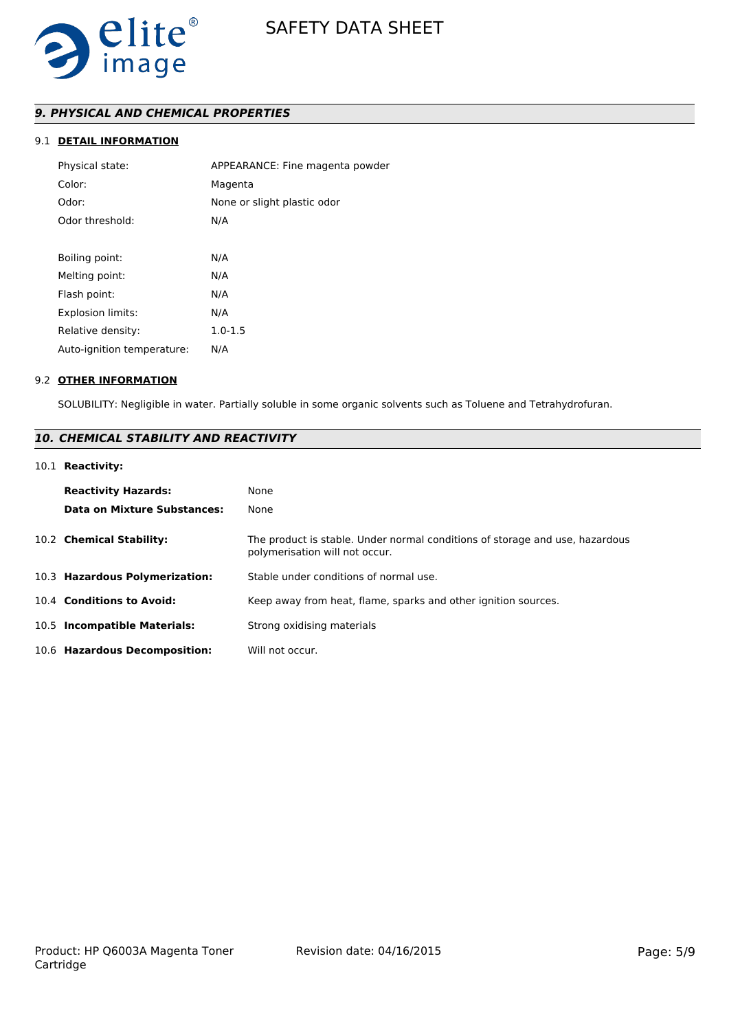

# *9. PHYSICAL AND CHEMICAL PROPERTIES*

# 9.1 **DETAIL INFORMATION**

| Physical state:            | APPEARANCE: Fine magenta powder |
|----------------------------|---------------------------------|
| Color:                     | Magenta                         |
| Odor:                      | None or slight plastic odor     |
| Odor threshold:            | N/A                             |
|                            |                                 |
| Boiling point:             | N/A                             |
| Melting point:             | N/A                             |
| Flash point:               | N/A                             |
| <b>Explosion limits:</b>   | N/A                             |
| Relative density:          | $1.0 - 1.5$                     |
| Auto-ignition temperature: | N/A                             |
|                            |                                 |

#### 9.2 **OTHER INFORMATION**

SOLUBILITY: Negligible in water. Partially soluble in some organic solvents such as Toluene and Tetrahydrofuran.

# *10. CHEMICAL STABILITY AND REACTIVITY*

# 10.1 **Reactivity:**

| <b>Reactivity Hazards:</b><br>Data on Mixture Substances: | None<br>None                                                                                                   |
|-----------------------------------------------------------|----------------------------------------------------------------------------------------------------------------|
| 10.2 Chemical Stability:                                  | The product is stable. Under normal conditions of storage and use, hazardous<br>polymerisation will not occur. |
| 10.3 Hazardous Polymerization:                            | Stable under conditions of normal use.                                                                         |
| 10.4 Conditions to Avoid:                                 | Keep away from heat, flame, sparks and other ignition sources.                                                 |
| 10.5 Incompatible Materials:                              | Strong oxidising materials                                                                                     |
| 10.6 Hazardous Decomposition:                             | Will not occur.                                                                                                |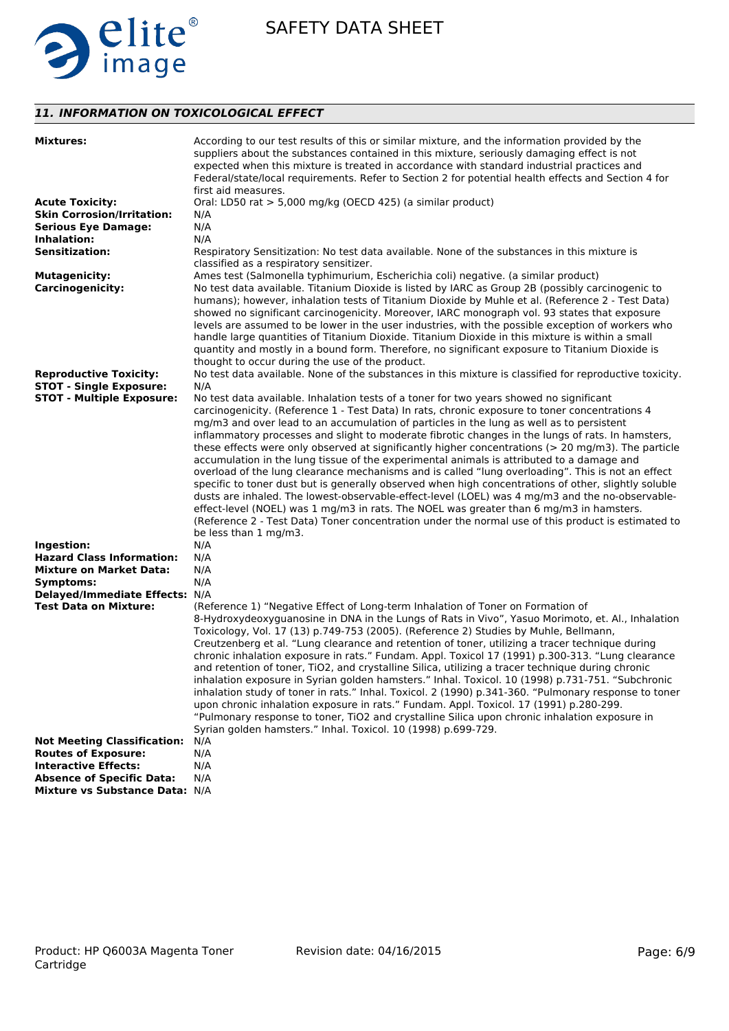

# *11. INFORMATION ON TOXICOLOGICAL EFFECT*

| <b>Mixtures:</b>                                               | According to our test results of this or similar mixture, and the information provided by the<br>suppliers about the substances contained in this mixture, seriously damaging effect is not<br>expected when this mixture is treated in accordance with standard industrial practices and<br>Federal/state/local requirements. Refer to Section 2 for potential health effects and Section 4 for<br>first aid measures.                                                                                                                                                                                                                                                                                                                                                                                                                                                                                                                                                                                                                                          |
|----------------------------------------------------------------|------------------------------------------------------------------------------------------------------------------------------------------------------------------------------------------------------------------------------------------------------------------------------------------------------------------------------------------------------------------------------------------------------------------------------------------------------------------------------------------------------------------------------------------------------------------------------------------------------------------------------------------------------------------------------------------------------------------------------------------------------------------------------------------------------------------------------------------------------------------------------------------------------------------------------------------------------------------------------------------------------------------------------------------------------------------|
| <b>Acute Toxicity:</b>                                         | Oral: LD50 rat > 5,000 mg/kg (OECD 425) (a similar product)                                                                                                                                                                                                                                                                                                                                                                                                                                                                                                                                                                                                                                                                                                                                                                                                                                                                                                                                                                                                      |
| <b>Skin Corrosion/Irritation:</b>                              | N/A                                                                                                                                                                                                                                                                                                                                                                                                                                                                                                                                                                                                                                                                                                                                                                                                                                                                                                                                                                                                                                                              |
| <b>Serious Eye Damage:</b>                                     | N/A                                                                                                                                                                                                                                                                                                                                                                                                                                                                                                                                                                                                                                                                                                                                                                                                                                                                                                                                                                                                                                                              |
| Inhalation:                                                    | N/A                                                                                                                                                                                                                                                                                                                                                                                                                                                                                                                                                                                                                                                                                                                                                                                                                                                                                                                                                                                                                                                              |
| <b>Sensitization:</b>                                          | Respiratory Sensitization: No test data available. None of the substances in this mixture is<br>classified as a respiratory sensitizer.                                                                                                                                                                                                                                                                                                                                                                                                                                                                                                                                                                                                                                                                                                                                                                                                                                                                                                                          |
| <b>Mutagenicity:</b>                                           | Ames test (Salmonella typhimurium, Escherichia coli) negative. (a similar product)                                                                                                                                                                                                                                                                                                                                                                                                                                                                                                                                                                                                                                                                                                                                                                                                                                                                                                                                                                               |
| <b>Carcinogenicity:</b>                                        | No test data available. Titanium Dioxide is listed by IARC as Group 2B (possibly carcinogenic to<br>humans); however, inhalation tests of Titanium Dioxide by Muhle et al. (Reference 2 - Test Data)<br>showed no significant carcinogenicity. Moreover, IARC monograph vol. 93 states that exposure<br>levels are assumed to be lower in the user industries, with the possible exception of workers who<br>handle large quantities of Titanium Dioxide. Titanium Dioxide in this mixture is within a small<br>quantity and mostly in a bound form. Therefore, no significant exposure to Titanium Dioxide is<br>thought to occur during the use of the product.                                                                                                                                                                                                                                                                                                                                                                                                |
| <b>Reproductive Toxicity:</b>                                  | No test data available. None of the substances in this mixture is classified for reproductive toxicity.                                                                                                                                                                                                                                                                                                                                                                                                                                                                                                                                                                                                                                                                                                                                                                                                                                                                                                                                                          |
| <b>STOT - Single Exposure:</b>                                 | N/A                                                                                                                                                                                                                                                                                                                                                                                                                                                                                                                                                                                                                                                                                                                                                                                                                                                                                                                                                                                                                                                              |
| <b>STOT - Multiple Exposure:</b>                               | No test data available. Inhalation tests of a toner for two years showed no significant                                                                                                                                                                                                                                                                                                                                                                                                                                                                                                                                                                                                                                                                                                                                                                                                                                                                                                                                                                          |
|                                                                | carcinogenicity. (Reference 1 - Test Data) In rats, chronic exposure to toner concentrations 4<br>mg/m3 and over lead to an accumulation of particles in the lung as well as to persistent<br>inflammatory processes and slight to moderate fibrotic changes in the lungs of rats. In hamsters,<br>these effects were only observed at significantly higher concentrations (> 20 mg/m3). The particle<br>accumulation in the lung tissue of the experimental animals is attributed to a damage and<br>overload of the lung clearance mechanisms and is called "lung overloading". This is not an effect<br>specific to toner dust but is generally observed when high concentrations of other, slightly soluble<br>dusts are inhaled. The lowest-observable-effect-level (LOEL) was 4 mg/m3 and the no-observable-<br>effect-level (NOEL) was 1 mg/m3 in rats. The NOEL was greater than 6 mg/m3 in hamsters.<br>(Reference 2 - Test Data) Toner concentration under the normal use of this product is estimated to<br>be less than 1 mg/m3.                     |
| Ingestion:                                                     | N/A                                                                                                                                                                                                                                                                                                                                                                                                                                                                                                                                                                                                                                                                                                                                                                                                                                                                                                                                                                                                                                                              |
| <b>Hazard Class Information:</b>                               | N/A                                                                                                                                                                                                                                                                                                                                                                                                                                                                                                                                                                                                                                                                                                                                                                                                                                                                                                                                                                                                                                                              |
| <b>Mixture on Market Data:</b>                                 | N/A                                                                                                                                                                                                                                                                                                                                                                                                                                                                                                                                                                                                                                                                                                                                                                                                                                                                                                                                                                                                                                                              |
| Symptoms:                                                      | N/A                                                                                                                                                                                                                                                                                                                                                                                                                                                                                                                                                                                                                                                                                                                                                                                                                                                                                                                                                                                                                                                              |
| Delayed/Immediate Effects: N/A<br><b>Test Data on Mixture:</b> | (Reference 1) "Negative Effect of Long-term Inhalation of Toner on Formation of<br>8-Hydroxydeoxyguanosine in DNA in the Lungs of Rats in Vivo", Yasuo Morimoto, et. Al., Inhalation<br>Toxicology, Vol. 17 (13) p.749-753 (2005). (Reference 2) Studies by Muhle, Bellmann,<br>Creutzenberg et al. "Lung clearance and retention of toner, utilizing a tracer technique during<br>chronic inhalation exposure in rats." Fundam. Appl. Toxicol 17 (1991) p.300-313. "Lung clearance<br>and retention of toner, TiO2, and crystalline Silica, utilizing a tracer technique during chronic<br>inhalation exposure in Syrian golden hamsters." Inhal. Toxicol. 10 (1998) p.731-751. "Subchronic<br>inhalation study of toner in rats." Inhal. Toxicol. 2 (1990) p.341-360. "Pulmonary response to toner<br>upon chronic inhalation exposure in rats." Fundam. Appl. Toxicol. 17 (1991) p.280-299.<br>"Pulmonary response to toner, TiO2 and crystalline Silica upon chronic inhalation exposure in<br>Syrian golden hamsters." Inhal. Toxicol. 10 (1998) p.699-729. |
| <b>Not Meeting Classification:</b>                             | N/A                                                                                                                                                                                                                                                                                                                                                                                                                                                                                                                                                                                                                                                                                                                                                                                                                                                                                                                                                                                                                                                              |
| <b>Routes of Exposure:</b>                                     | N/A                                                                                                                                                                                                                                                                                                                                                                                                                                                                                                                                                                                                                                                                                                                                                                                                                                                                                                                                                                                                                                                              |
| <b>Interactive Effects:</b>                                    | N/A                                                                                                                                                                                                                                                                                                                                                                                                                                                                                                                                                                                                                                                                                                                                                                                                                                                                                                                                                                                                                                                              |
| <b>Absence of Specific Data:</b>                               | N/A                                                                                                                                                                                                                                                                                                                                                                                                                                                                                                                                                                                                                                                                                                                                                                                                                                                                                                                                                                                                                                                              |
| Mixture vs Substance Data: N/A                                 |                                                                                                                                                                                                                                                                                                                                                                                                                                                                                                                                                                                                                                                                                                                                                                                                                                                                                                                                                                                                                                                                  |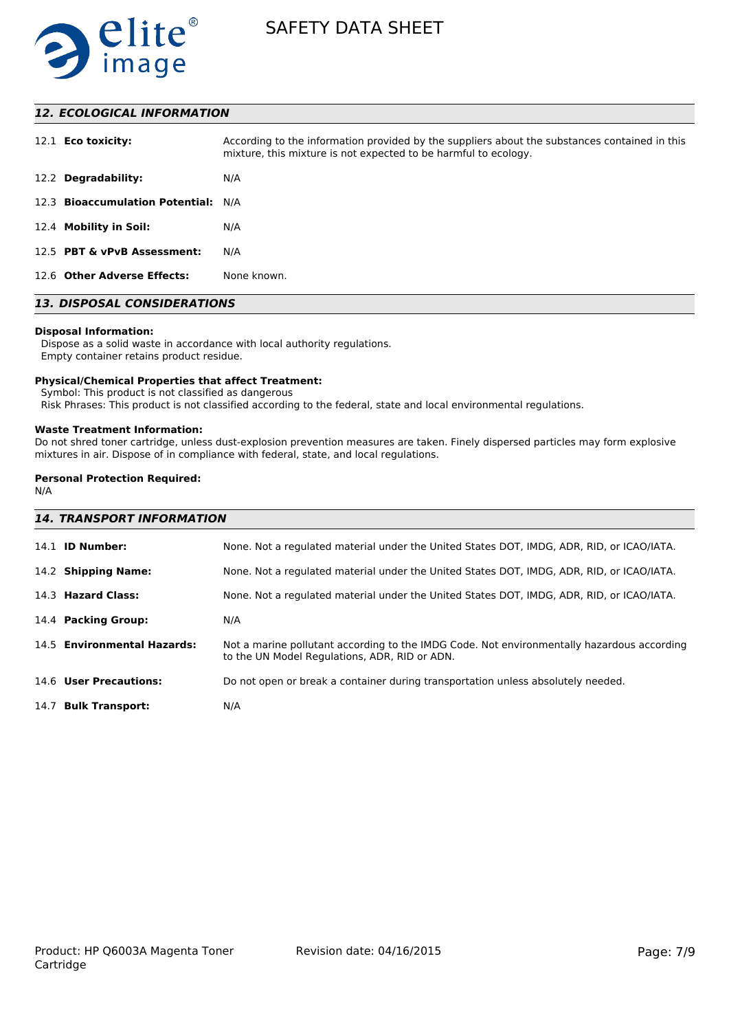

# *12. ECOLOGICAL INFORMATION*

| 12.1 <b>Eco toxicity:</b>           | According to the information provided by the suppliers about the substances contained in this<br>mixture, this mixture is not expected to be harmful to ecology. |
|-------------------------------------|------------------------------------------------------------------------------------------------------------------------------------------------------------------|
| 12.2 Degradability:                 | N/A                                                                                                                                                              |
| 12.3 Bioaccumulation Potential: N/A |                                                                                                                                                                  |
| 12.4 Mobility in Soil:              | N/A                                                                                                                                                              |
| 12.5 PBT & vPvB Assessment:         | N/A                                                                                                                                                              |
| 12.6 Other Adverse Effects:         | None known.                                                                                                                                                      |

# *13. DISPOSAL CONSIDERATIONS*

#### **Disposal Information:**

 Dispose as a solid waste in accordance with local authority regulations. Empty container retains product residue.

#### **Physical/Chemical Properties that affect Treatment:**

Symbol: This product is not classified as dangerous

Risk Phrases: This product is not classified according to the federal, state and local environmental regulations.

#### **Waste Treatment Information:**

Do not shred toner cartridge, unless dust-explosion prevention measures are taken. Finely dispersed particles may form explosive mixtures in air. Dispose of in compliance with federal, state, and local regulations.

### **Personal Protection Required:**

N/A

| <b>14. TRANSPORT INFORMATION</b> |                                                                                                                                             |
|----------------------------------|---------------------------------------------------------------------------------------------------------------------------------------------|
| 14.1 <b>ID Number:</b>           | None. Not a regulated material under the United States DOT, IMDG, ADR, RID, or ICAO/IATA.                                                   |
| 14.2 Shipping Name:              | None. Not a regulated material under the United States DOT, IMDG, ADR, RID, or ICAO/IATA.                                                   |
| 14.3 Hazard Class:               | None. Not a regulated material under the United States DOT, IMDG, ADR, RID, or ICAO/IATA.                                                   |
| 14.4 Packing Group:              | N/A                                                                                                                                         |
| 14.5 Environmental Hazards:      | Not a marine pollutant according to the IMDG Code. Not environmentally hazardous according<br>to the UN Model Regulations, ADR, RID or ADN. |
| 14.6 User Precautions:           | Do not open or break a container during transportation unless absolutely needed.                                                            |
| 14.7 Bulk Transport:             | N/A                                                                                                                                         |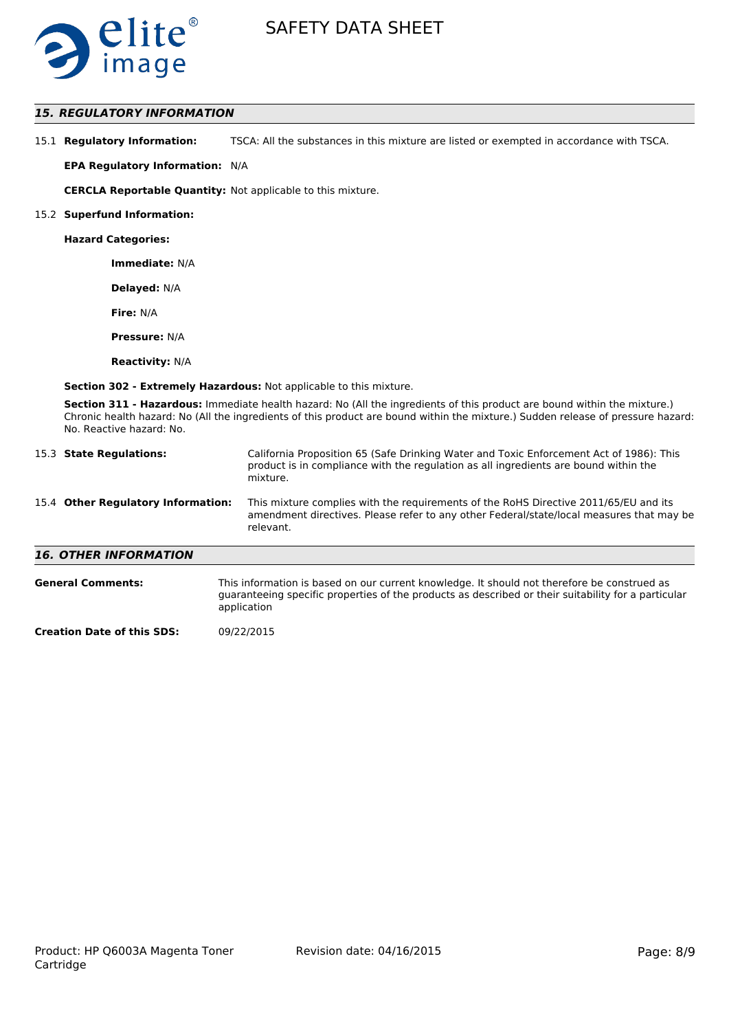

### *15. REGULATORY INFORMATION*

| 15.1 Regulatory Information: | TSCA: All the substances in this mixture are listed or exempted in accordance with TSCA. |
|------------------------------|------------------------------------------------------------------------------------------|
|------------------------------|------------------------------------------------------------------------------------------|

**EPA Regulatory Information:** N/A

**CERCLA Reportable Quantity:** Not applicable to this mixture.

#### 15.2 **Superfund Information:**

**Hazard Categories:**

**Immediate:** N/A

**Delayed:** N/A

**Fire:** N/A

**Pressure:** N/A

**Reactivity:** N/A

**Section 302 - Extremely Hazardous:** Not applicable to this mixture.

**Section 311 - Hazardous:** Immediate health hazard: No (All the ingredients of this product are bound within the mixture.) Chronic health hazard: No (All the ingredients of this product are bound within the mixture.) Sudden release of pressure hazard: No. Reactive hazard: No.

| 15.3 State Regulations:            | California Proposition 65 (Safe Drinking Water and Toxic Enforcement Act of 1986): This<br>product is in compliance with the regulation as all ingredients are bound within the<br>mixture.   |
|------------------------------------|-----------------------------------------------------------------------------------------------------------------------------------------------------------------------------------------------|
| 15.4 Other Regulatory Information: | This mixture complies with the requirements of the RoHS Directive 2011/65/EU and its<br>amendment directives. Please refer to any other Federal/state/local measures that may be<br>relevant. |
| <b>16. OTHER INFORMATION</b>       |                                                                                                                                                                                               |
| <b>General Comments:</b>           | This information is based on our current knowledge. It should not therefore be construed as                                                                                                   |

guaranteeing specific properties of the products as described or their suitability for a particular application

**Creation Date of this SDS:** 09/22/2015